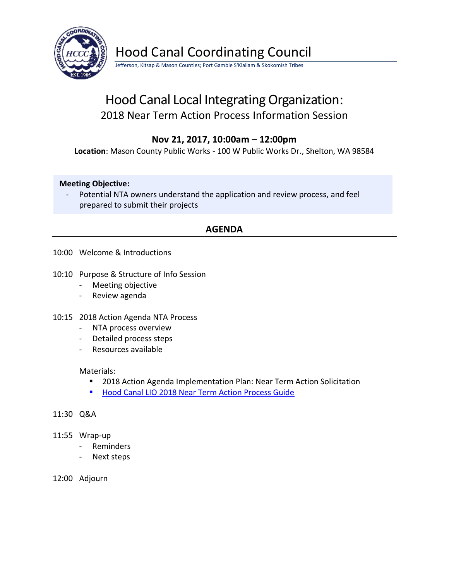

Hood Canal Coordinating Council

Jefferson, Kitsap & Mason Counties; Port Gamble S'Klallam & Skokomish Tribes

# Hood Canal Local Integrating Organization: 2018 Near Term Action Process Information Session

## **Nov 21, 2017, 10:00am – 12:00pm**

**Location**: Mason County Public Works - 100 W Public Works Dr., Shelton, WA 98584

### **Meeting Objective:**

- Potential NTA owners understand the application and review process, and feel prepared to submit their projects

## **AGENDA**

- 10:00 Welcome & Introductions
- 10:10 Purpose & Structure of Info Session
	- Meeting objective
	- Review agenda
- 10:15 2018 Action Agenda NTA Process
	- NTA process overview
	- Detailed process steps
	- Resources available

### Materials:

- 2018 Action Agenda Implementation Plan: Near Term Action Solicitation
- [Hood Canal LIO 2018 Near Term Action Process Guide](https://hcccwagov.box.com/s/fkhbcfj0wi1wol8h1ug5ovs3cbfsh18b)

### 11:30 Q&A

- 11:55 Wrap-up
	- Reminders
	- Next steps
- 12:00 Adjourn